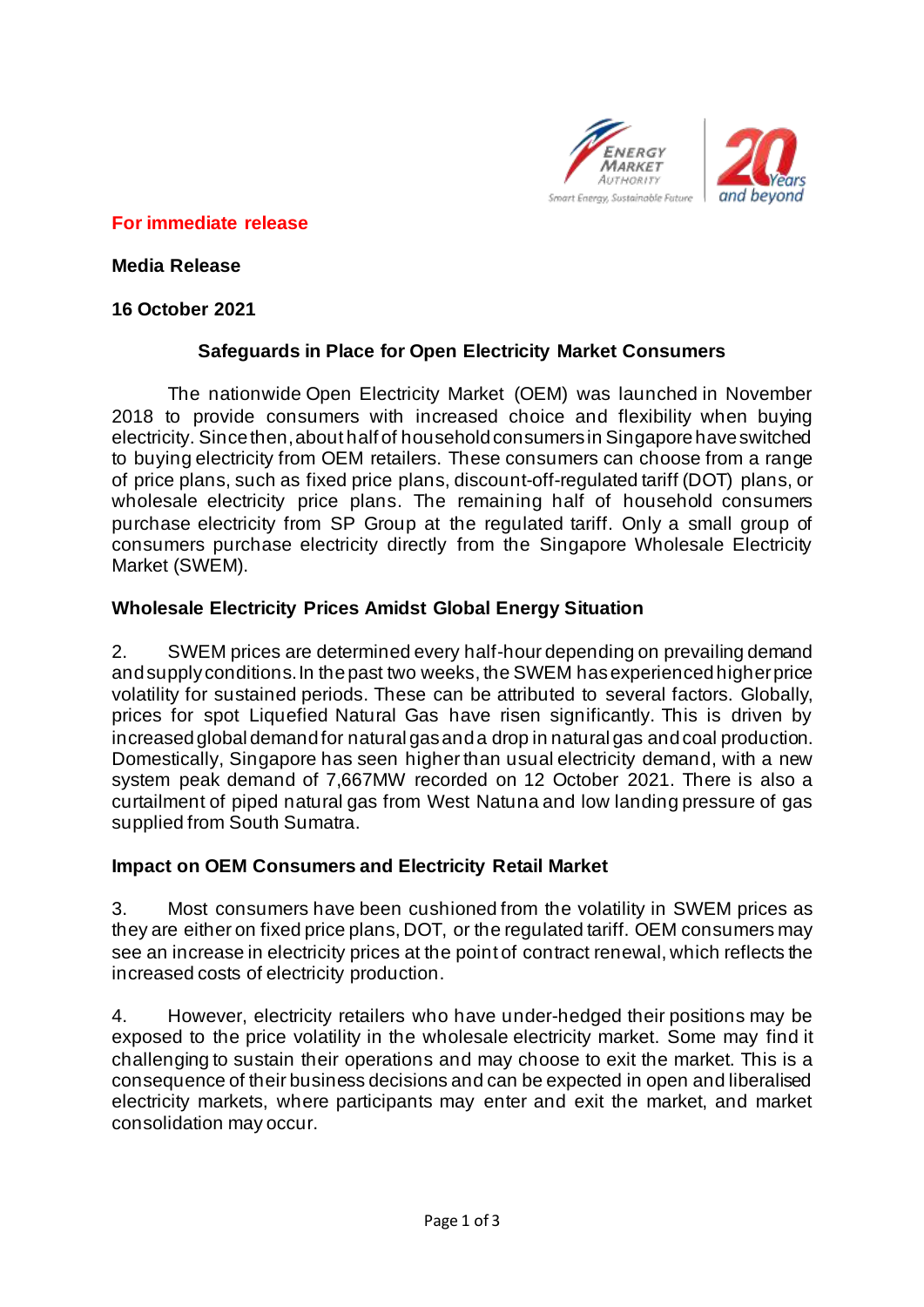

### **For immediate release**

**Media Release**

### **16 October 2021**

# **Safeguards in Place for Open Electricity Market Consumers**

The nationwide Open Electricity Market (OEM) was launched in November 2018 to provide consumers with increased choice and flexibility when buying electricity. Since then, about half of household consumers in Singapore have switched to buying electricity from OEM retailers. These consumers can choose from a range of price plans, such as fixed price plans, discount-off-regulated tariff (DOT) plans, or wholesale electricity price plans. The remaining half of household consumers purchase electricity from SP Group at the regulated tariff. Only a small group of consumers purchase electricity directly from the Singapore Wholesale Electricity Market (SWEM).

# **Wholesale Electricity Prices Amidst Global Energy Situation**

2. SWEM prices are determined every half-hour depending on prevailing demand and supply conditions. In the past two weeks, the SWEM has experienced higher price volatility for sustained periods. These can be attributed to several factors. Globally, prices for spot Liquefied Natural Gas have risen significantly. This is driven by increased global demand for natural gas and a drop in natural gas and coal production. Domestically, Singapore has seen higher than usual electricity demand, with a new system peak demand of 7,667MW recorded on 12 October 2021. There is also a curtailment of piped natural gas from West Natuna and low landing pressure of gas supplied from South Sumatra.

### **Impact on OEM Consumers and Electricity Retail Market**

3. Most consumers have been cushioned from the volatility in SWEM prices as they are either on fixed price plans, DOT, or the regulated tariff. OEM consumers may see an increase in electricity prices at the point of contract renewal, which reflects the increased costs of electricity production.

4. However, electricity retailers who have under-hedged their positions may be exposed to the price volatility in the wholesale electricity market. Some may find it challenging to sustain their operations and may choose to exit the market. This is a consequence of their business decisions and can be expected in open and liberalised electricity markets, where participants may enter and exit the market, and market consolidation may occur.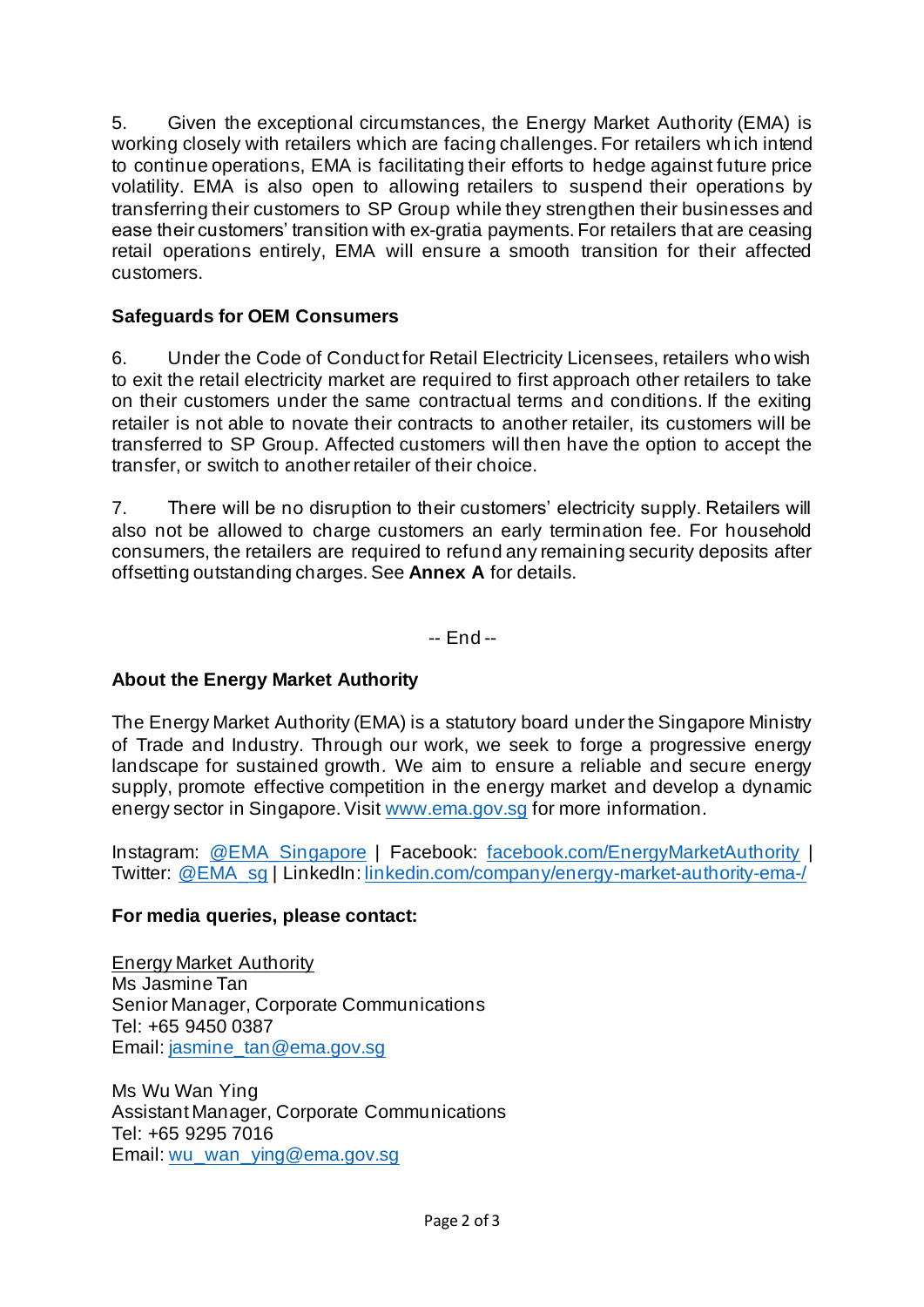5. Given the exceptional circumstances, the Energy Market Authority (EMA) is working closely with retailers which are facing challenges. For retailers wh ich intend to continue operations, EMA is facilitating their efforts to hedge against future price volatility. EMA is also open to allowing retailers to suspend their operations by transferring their customers to SP Group while they strengthen their businesses and ease their customers' transition with ex-gratia payments. For retailers that are ceasing retail operations entirely, EMA will ensure a smooth transition for their affected customers.

# **Safeguards for OEM Consumers**

6. Under the Code of Conduct for Retail Electricity Licensees, retailers who wish to exit the retail electricity market are required to first approach other retailers to take on their customers under the same contractual terms and conditions. If the exiting retailer is not able to novate their contracts to another retailer, its customers will be transferred to SP Group. Affected customers will then have the option to accept the transfer, or switch to another retailer of their choice.

7. There will be no disruption to their customers' electricity supply. Retailers will also not be allowed to charge customers an early termination fee. For household consumers, the retailers are required to refund any remaining security deposits after offsetting outstanding charges. See **Annex A** for details.

-- End --

# **About the Energy Market Authority**

The Energy Market Authority (EMA) is a statutory board under the Singapore Ministry of Trade and Industry. Through our work, we seek to forge a progressive energy landscape for sustained growth. We aim to ensure a reliable and secure energy supply, promote effective competition in the energy market and develop a dynamic energy sector in Singapore. Visit [www.ema.gov.sg](http://www.ema.gov.sg/) for more information.

Instagram: [@EMA\\_Singapore](http://www.instagram.com/ema_singapore) | Facebook: [facebook.com/EnergyMarketAuthority](http://www.facebook.com/EnergyMarketAuthority) | Twitter: [@EMA\\_sg](http://www.twitter.com/ema_sg) | LinkedIn[: linkedin.com/company/energy-market-authority-ema-/](https://www.linkedin.com/company/energy-market-authority-ema-/)

### **For media queries, please contact:**

Energy Market Authority Ms Jasmine Tan Senior Manager, Corporate Communications Tel: +65 9450 0387 Email[: jasmine\\_tan@ema.gov.sg](mailto:jasmine_tan@ema.gov.sg)

Ms Wu Wan Ying Assistant Manager, Corporate Communications Tel: +65 9295 7016 Email[: wu\\_wan\\_ying@ema.gov.sg](mailto:wu_wan_ying@ema.gov.sg)